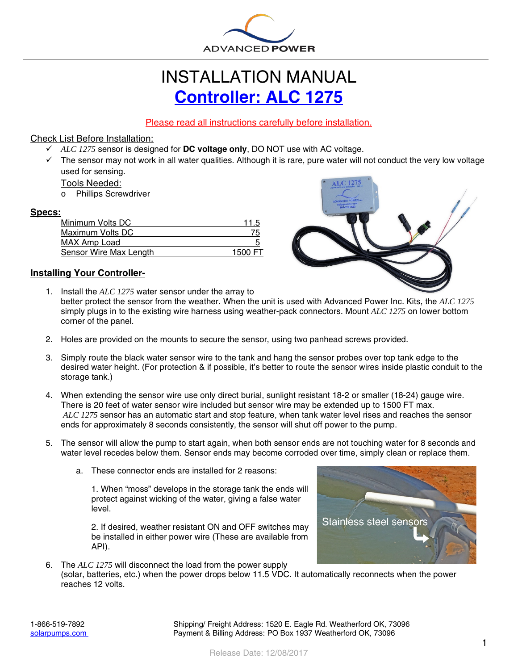

# INSTALLATION MANUAL **[Controller: ALC 1275](https://solarpumps.com/products/controllers/alc-1275)**

## Please read all instructions carefully before installation.

### Check List Before Installation:

- *ALC 1275* sensor is designed for **DC voltage only**, DO NOT use with AC voltage.
- $\checkmark$  The sensor may not work in all water qualities. Although it is rare, pure water will not conduct the very low voltage used for sensing.

#### Tools Needed:

o Phillips Screwdriver

#### **Specs:**

| 11.5    |
|---------|
| 75      |
| ÷       |
| 1500 FT |
|         |



### **Installing Your Controller-**

- 1. Install the *ALC 1275* water sensor under the array to better protect the sensor from the weather. When the unit is used with Advanced Power Inc. Kits, the *ALC 1275* simply plugs in to the existing wire harness using weather-pack connectors. Mount *ALC 1275* on lower bottom corner of the panel.
- 2. Holes are provided on the mounts to secure the sensor, using two panhead screws provided.
- 3. Simply route the black water sensor wire to the tank and hang the sensor probes over top tank edge to the desired water height. (For protection & if possible, it's better to route the sensor wires inside plastic conduit to the storage tank.)
- 4. When extending the sensor wire use only direct burial, sunlight resistant 18-2 or smaller (18-24) gauge wire. There is 20 feet of water sensor wire included but sensor wire may be extended up to 1500 FT max. *ALC 1275* sensor has an automatic start and stop feature, when tank water level rises and reaches the sensor ends for approximately 8 seconds consistently, the sensor will shut off power to the pump.
- 5. The sensor will allow the pump to start again, when both sensor ends are not touching water for 8 seconds and water level recedes below them. Sensor ends may become corroded over time, simply clean or replace them.
	- a. These connector ends are installed for 2 reasons:

1. When "moss" develops in the storage tank the ends will protect against wicking of the water, giving a false water level.

2. If desired, weather resistant ON and OFF switches may be installed in either power wire (These are available from API).



6. The *ALC 1275* will disconnect the load from the power supply (solar, batteries, etc.) when the power drops below 11.5 VDC. It automatically reconnects when the power reaches 12 volts.

1-866-519-7892 Shipping/ Freight Address: 1520 E. Eagle Rd. Weatherford OK, 73096 [solarpumps.com](http://www.solarpumps.com/) Payment & Billing Address: PO Box 1937 Weatherford OK, 73096